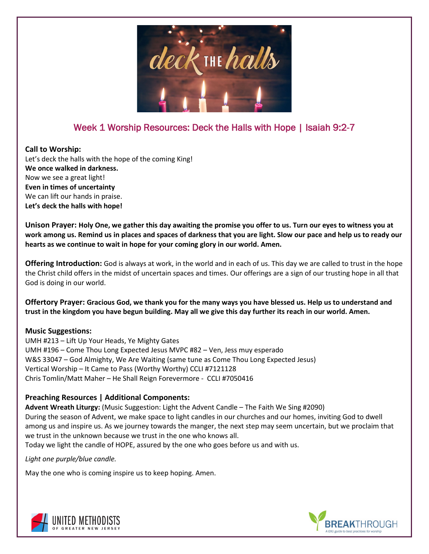

# Week 1 Worship Resources: Deck the Halls with Hope | Isaiah 9:2-7

### **Call to Worship:**

Let's deck the halls with the hope of the coming King! **We once walked in darkness.** Now we see a great light! **Even in times of uncertainty**  We can lift our hands in praise. **Let's deck the halls with hope!**

**Unison Prayer: Holy One, we gather this day awaiting the promise you offer to us. Turn our eyes to witness you at work among us. Remind us in places and spaces of darkness that you are light. Slow our pace and help us to ready our hearts as we continue to wait in hope for your coming glory in our world. Amen.**

**Offering Introduction:** God is always at work, in the world and in each of us. This day we are called to trust in the hope the Christ child offers in the midst of uncertain spaces and times. Our offerings are a sign of our trusting hope in all that God is doing in our world.

**Offertory Prayer: Gracious God, we thank you for the many ways you have blessed us. Help us to understand and trust in the kingdom you have begun building. May all we give this day further its reach in our world. Amen.**

## **Music Suggestions:**

UMH #213 – Lift Up Your Heads, Ye Mighty Gates UMH #196 – Come Thou Long Expected Jesus MVPC #82 – Ven, Jess muy esperado W&S 33047 – God Almighty, We Are Waiting (same tune as Come Thou Long Expected Jesus) Vertical Worship – It Came to Pass (Worthy Worthy) CCLI #7121128 Chris Tomlin/Matt Maher – He Shall Reign Forevermore - CCLI #7050416

## **Preaching Resources | Additional Components:**

**Advent Wreath Liturgy:** (Music Suggestion: Light the Advent Candle – The Faith We Sing #2090) During the season of Advent, we make space to light candles in our churches and our homes, inviting God to dwell among us and inspire us. As we journey towards the manger, the next step may seem uncertain, but we proclaim that we trust in the unknown because we trust in the one who knows all.

Today we light the candle of HOPE, assured by the one who goes before us and with us.

*Light one purple/blue candle.*

May the one who is coming inspire us to keep hoping. Amen.



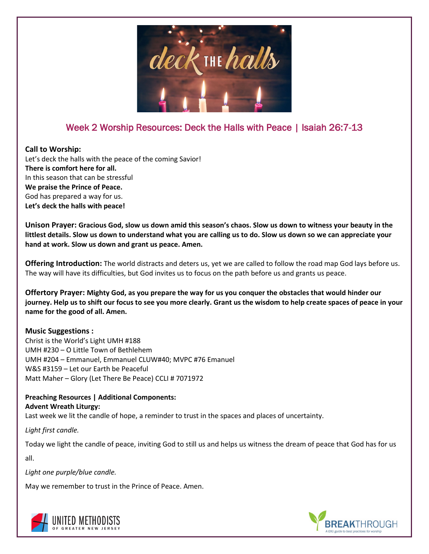

# Week 2 Worship Resources: Deck the Halls with Peace | Isaiah 26:7-13

## **Call to Worship:**

Let's deck the halls with the peace of the coming Savior! **There is comfort here for all.** In this season that can be stressful **We praise the Prince of Peace.** God has prepared a way for us. **Let's deck the halls with peace!**

**Unison Prayer: Gracious God, slow us down amid this season's chaos. Slow us down to witness your beauty in the littlest details. Slow us down to understand what you are calling us to do. Slow us down so we can appreciate your hand at work. Slow us down and grant us peace. Amen.**

**Offering Introduction:** The world distracts and deters us, yet we are called to follow the road map God lays before us. The way will have its difficulties, but God invites us to focus on the path before us and grants us peace.

**Offertory Prayer: Mighty God, as you prepare the way for us you conquer the obstacles that would hinder our journey. Help us to shift our focus to see you more clearly. Grant us the wisdom to help create spaces of peace in your name for the good of all. Amen.**

## **Music Suggestions :**

Christ is the World's Light UMH #188 UMH #230 – O Little Town of Bethlehem UMH #204 – Emmanuel, Emmanuel CLUW#40; MVPC #76 Emanuel W&S #3159 – Let our Earth be Peaceful Matt Maher – Glory (Let There Be Peace) CCLI # 7071972

**Preaching Resources | Additional Components: Advent Wreath Liturgy:**

Last week we lit the candle of hope, a reminder to trust in the spaces and places of uncertainty.

*Light first candle.*

Today we light the candle of peace, inviting God to still us and helps us witness the dream of peace that God has for us

all.

*Light one purple/blue candle.*

May we remember to trust in the Prince of Peace. Amen.



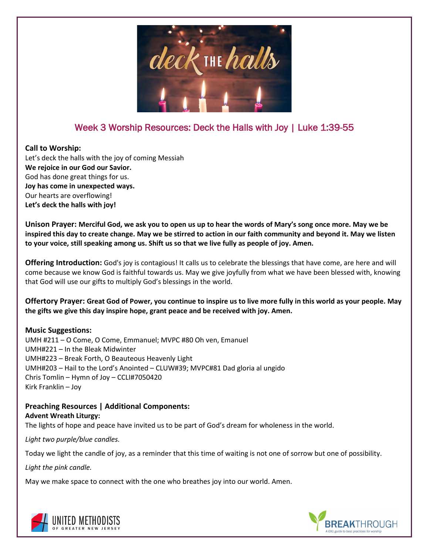

## Week 3 Worship Resources: Deck the Halls with Joy | Luke 1:39-55

### **Call to Worship:**

Let's deck the halls with the joy of coming Messiah **We rejoice in our God our Savior.** God has done great things for us. **Joy has come in unexpected ways.** Our hearts are overflowing! **Let's deck the halls with joy!**

**Unison Prayer: Merciful God, we ask you to open us up to hear the words of Mary's song once more. May we be inspired this day to create change. May we be stirred to action in our faith community and beyond it. May we listen to your voice, still speaking among us. Shift us so that we live fully as people of joy. Amen.**

**Offering Introduction:** God's joy is contagious! It calls us to celebrate the blessings that have come, are here and will come because we know God is faithful towards us. May we give joyfully from what we have been blessed with, knowing that God will use our gifts to multiply God's blessings in the world.

**Offertory Prayer: Great God of Power, you continue to inspire us to live more fully in this world as your people. May the gifts we give this day inspire hope, grant peace and be received with joy. Amen.**

## **Music Suggestions:**

UMH #211 – O Come, O Come, Emmanuel; MVPC #80 Oh ven, Emanuel UMH#221 – In the Bleak Midwinter UMH#223 – Break Forth, O Beauteous Heavenly Light UMH#203 – Hail to the Lord's Anointed – CLUW#39; MVPC#81 Dad gloria al ungido Chris Tomlin – Hymn of Joy – CCLI#7050420 Kirk Franklin – Joy

#### **Preaching Resources | Additional Components: Advent Wreath Liturgy:**

The lights of hope and peace have invited us to be part of God's dream for wholeness in the world.

*Light two purple/blue candles.*

Today we light the candle of joy, as a reminder that this time of waiting is not one of sorrow but one of possibility.

*Light the pink candle.*

May we make space to connect with the one who breathes joy into our world. Amen.



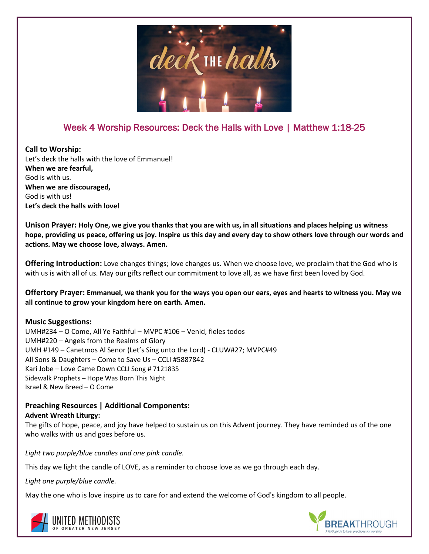

## Week 4 Worship Resources: Deck the Halls with Love | Matthew 1:18-25

**Call to Worship:** Let's deck the halls with the love of Emmanuel! **When we are fearful,** God is with us. **When we are discouraged,** God is with us! **Let's deck the halls with love!**

**Unison Prayer: Holy One, we give you thanks that you are with us, in all situations and places helping us witness hope, providing us peace, offering us joy. Inspire us this day and every day to show others love through our words and actions. May we choose love, always. Amen.**

**Offering Introduction:** Love changes things; love changes us. When we choose love, we proclaim that the God who is with us is with all of us. May our gifts reflect our commitment to love all, as we have first been loved by God.

**Offertory Prayer: Emmanuel, we thank you for the ways you open our ears, eyes and hearts to witness you. May we all continue to grow your kingdom here on earth. Amen.**

### **Music Suggestions:**

UMH#234 – O Come, All Ye Faithful – MVPC #106 – Venid, fieles todos UMH#220 – Angels from the Realms of Glory UMH #149 – Canetmos Al Senor (Let's Sing unto the Lord) - CLUW#27; MVPC#49 All Sons & Daughters – Come to Save Us – CCLI #5887842 Kari Jobe – Love Came Down CCLI Song # 7121835 Sidewalk Prophets – Hope Was Born This Night Israel & New Breed – O Come

#### **Preaching Resources | Additional Components: Advent Wreath Liturgy:**

The gifts of hope, peace, and joy have helped to sustain us on this Advent journey. They have reminded us of the one who walks with us and goes before us.

*Light two purple/blue candles and one pink candle.*

This day we light the candle of LOVE, as a reminder to choose love as we go through each day.

*Light one purple/blue candle.*

May the one who is love inspire us to care for and extend the welcome of God's kingdom to all people.



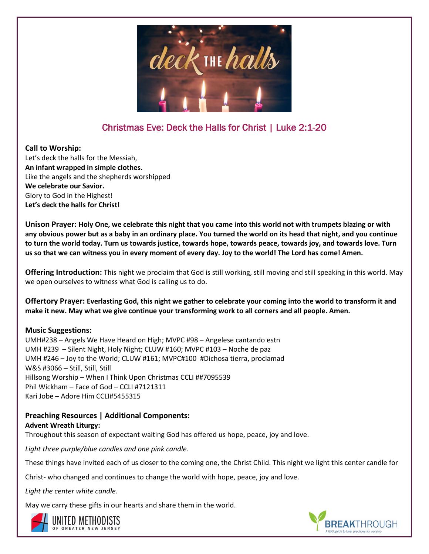

# Christmas Eve: Deck the Halls for Christ | Luke 2:1-20

## **Call to Worship:**

Let's deck the halls for the Messiah, **An infant wrapped in simple clothes.** Like the angels and the shepherds worshipped **We celebrate our Savior.** Glory to God in the Highest! **Let's deck the halls for Christ!**

**Unison Prayer: Holy One, we celebrate this night that you came into this world not with trumpets blazing or with any obvious power but as a baby in an ordinary place. You turned the world on its head that night, and you continue to turn the world today. Turn us towards justice, towards hope, towards peace, towards joy, and towards love. Turn us so that we can witness you in every moment of every day. Joy to the world! The Lord has come! Amen.**

**Offering Introduction:** This night we proclaim that God is still working, still moving and still speaking in this world. May we open ourselves to witness what God is calling us to do.

**Offertory Prayer: Everlasting God, this night we gather to celebrate your coming into the world to transform it and make it new. May what we give continue your transforming work to all corners and all people. Amen.**

## **Music Suggestions:**

UMH#238 – Angels We Have Heard on High; MVPC #98 – Angelese cantando estn UMH #239 – Silent Night, Holy Night; CLUW #160; MVPC #103 – Noche de paz UMH #246 – Joy to the World; CLUW #161; MVPC#100 #Dichosa tierra, proclamad W&S #3066 – Still, Still, Still Hillsong Worship – When I Think Upon Christmas CCLI ##7095539 Phil Wickham – Face of God – CCLI #7121311 Kari Jobe – Adore Him CCLI#5455315

**Preaching Resources | Additional Components: Advent Wreath Liturgy:** Throughout this season of expectant waiting God has offered us hope, peace, joy and love.

*Light three purple/blue candles and one pink candle.*

These things have invited each of us closer to the coming one, the Christ Child. This night we light this center candle for

Christ- who changed and continues to change the world with hope, peace, joy and love.

*Light the center white candle.*

May we carry these gifts in our hearts and share them in the world.